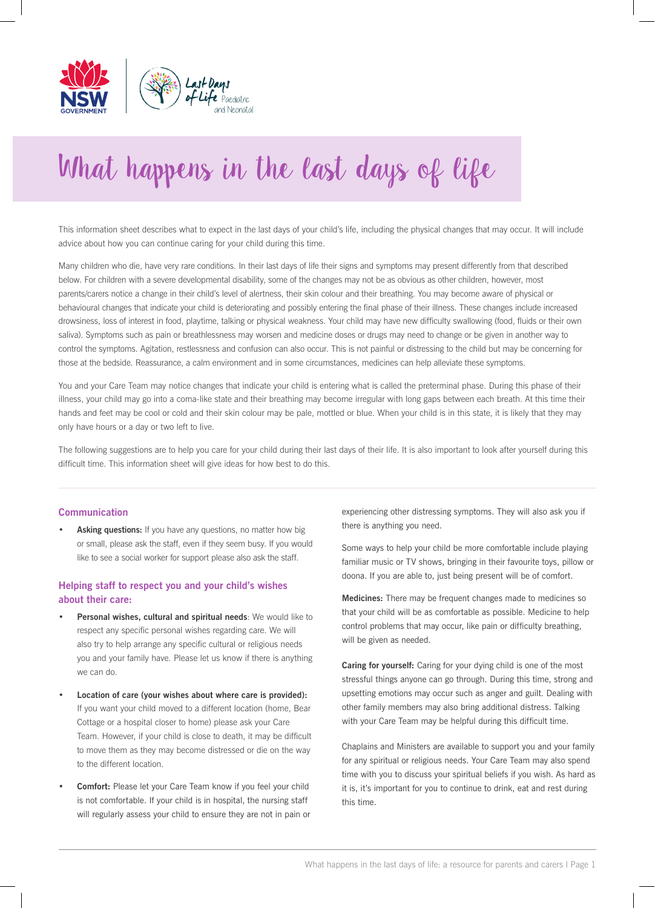

# What happens in the last days of life

This information sheet describes what to expect in the last days of your child's life, including the physical changes that may occur. It will include advice about how you can continue caring for your child during this time.

Many children who die, have very rare conditions. In their last days of life their signs and symptoms may present differently from that described below. For children with a severe developmental disability, some of the changes may not be as obvious as other children, however, most parents/carers notice a change in their child's level of alertness, their skin colour and their breathing. You may become aware of physical or behavioural changes that indicate your child is deteriorating and possibly entering the final phase of their illness. These changes include increased drowsiness, loss of interest in food, playtime, talking or physical weakness. Your child may have new difficulty swallowing (food, fluids or their own saliva). Symptoms such as pain or breathlessness may worsen and medicine doses or drugs may need to change or be given in another way to control the symptoms. Agitation, restlessness and confusion can also occur. This is not painful or distressing to the child but may be concerning for those at the bedside. Reassurance, a calm environment and in some circumstances, medicines can help alleviate these symptoms.

You and your Care Team may notice changes that indicate your child is entering what is called the preterminal phase. During this phase of their illness, your child may go into a coma-like state and their breathing may become irregular with long gaps between each breath. At this time their hands and feet may be cool or cold and their skin colour may be pale, mottled or blue. When your child is in this state, it is likely that they may only have hours or a day or two left to live.

The following suggestions are to help you care for your child during their last days of their life. It is also important to look after yourself during this difficult time. This information sheet will give ideas for how best to do this.

#### **Communication**

**Asking questions:** If you have any questions, no matter how big or small, please ask the staff, even if they seem busy. If you would like to see a social worker for support please also ask the staff.

### **Helping staff to respect you and your child's wishes about their care:**

- **• Personal wishes, cultural and spiritual needs**: We would like to respect any specific personal wishes regarding care. We will also try to help arrange any specific cultural or religious needs you and your family have. Please let us know if there is anything we can do.
- **• Location of care (your wishes about where care is provided):** If you want your child moved to a different location (home, Bear Cottage or a hospital closer to home) please ask your Care Team. However, if your child is close to death, it may be difficult to move them as they may become distressed or die on the way to the different location.
- **• Comfort:** Please let your Care Team know if you feel your child is not comfortable. If your child is in hospital, the nursing staff will regularly assess your child to ensure they are not in pain or

experiencing other distressing symptoms. They will also ask you if there is anything you need.

Some ways to help your child be more comfortable include playing familiar music or TV shows, bringing in their favourite toys, pillow or doona. If you are able to, just being present will be of comfort.

**Medicines:** There may be frequent changes made to medicines so that your child will be as comfortable as possible. Medicine to help control problems that may occur, like pain or difficulty breathing, will be given as needed.

**Caring for yourself:** Caring for your dying child is one of the most stressful things anyone can go through. During this time, strong and upsetting emotions may occur such as anger and guilt. Dealing with other family members may also bring additional distress. Talking with your Care Team may be helpful during this difficult time.

Chaplains and Ministers are available to support you and your family for any spiritual or religious needs. Your Care Team may also spend time with you to discuss your spiritual beliefs if you wish. As hard as it is, it's important for you to continue to drink, eat and rest during this time.